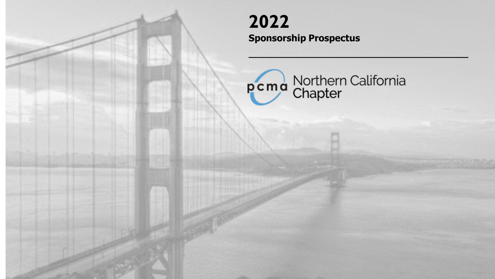# **2022 Sponsorship Prospectus**

pcma Northern California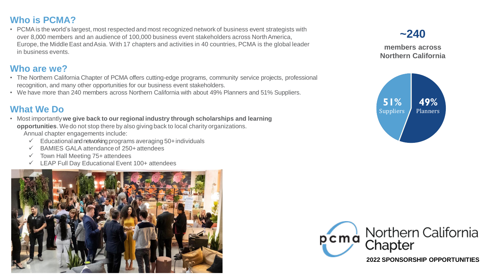### **Who is PCMA?**

• PCMA is the world's largest, most respected and most recognized network of business event strategists with over 8,000 members and an audience of 100,000 business event stakeholders across NorthAmerica, Europe, the Middle East and Asia. With 17 chapters and activities in 40 countries, PCMA is the global leader in business events.

## **Who are we?**

- The Northern California Chapter of PCMA offers cutting-edge programs, community service projects, professional recognition, and many other opportunities for our business event stakeholders.
- We have more than 240 members across Northern California with about 49% Planners and 51% Suppliers.

## **What We Do**

- Most importantly**we give back to our regional industry through scholarships and learning opportunities**. We do not stop there by also giving back to local charity organizations. Annual chapter engagements include:
	- $\checkmark$  Educational and networking programs averaging 50+individuals
	- $\checkmark$  BAMIES GALA attendance of 250+ attendees
	- $\checkmark$  Town Hall Meeting 75+ attendees
	- ✓ LEAP Full Day Educational Event 100+ attendees





**2022 SPONSORSHIP OPPORTUNITIES** 

# **~240**

**members across Northern California**

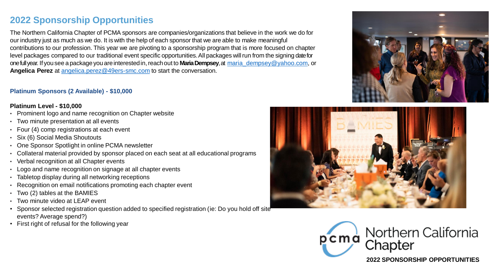### **2022 Sponsorship Opportunities**

The Northern California Chapter of PCMA sponsors are companies/organizations that believe in the work we do for our industry just as much as we do. It is with the help of each sponsor that we are able to make meaningful contributions to our profession. This year we are pivoting to a sponsorship program that is more focused on chapter level packages compared to our traditional event specific opportunities.All packages willrun from the signing date for one full year. If you see a package you are interested in, reach out to **Maria Dempsey**, at maria dempsey@yahoo.com, or **Angelica Perez** at [angelica.perez@49ers-smc.com](mailto:angelica.perez@49ers-smc.com) to start the conversation.

#### **Platinum Sponsors (2 Available) - \$10,000**

#### **Platinum Level - \$10,000**

- Prominent logo and name recognition on Chapter website
- Two minute presentation at all events
- Four (4) comp registrations at each event
- Six (6) Social Media Shoutouts
- One Sponsor Spotlight in online PCMA newsletter
- Collateral material provided by sponsor placed on each seat at all educational programs
- Verbal recognition at all Chapter events
- Logo and name recognition on signage at all chapter events
- Tabletop display during all networking receptions
- Recognition on email notifications promoting each chapter event
- Two (2) tables at the BAMIES
- Two minute video at LEAP event
- Sponsor selected registration question added to specified registration (ie: Do you hold off site events? Average spend?)
- First right of refusal for the following year







**2022 SPONSORSHIP OPPORTUNITIES**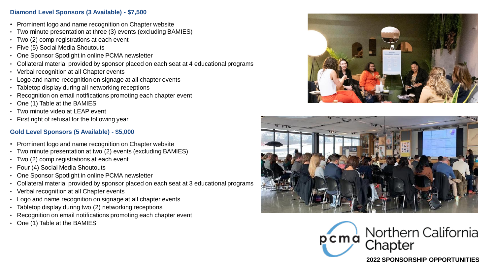#### **Diamond Level Sponsors (3 Available) - \$7,500**

- Prominent logo and name recognition on Chapter website
- Two minute presentation at three (3) events (excluding BAMIES)
- Two (2) comp registrations at each event
- Five (5) Social Media Shoutouts
- One Sponsor Spotlight in online PCMA newsletter
- Collateral material provided by sponsor placed on each seat at 4 educational programs
- Verbal recognition at all Chapter events
- Logo and name recognition on signage at all chapter events
- Tabletop display during all networking receptions
- Recognition on email notifications promoting each chapter event
- One (1) Table at the BAMIES
- Two minute video at LEAP event
- First right of refusal for the following year

### **Gold Level Sponsors (5 Available) - \$5,000**

- Prominent logo and name recognition on Chapter website
- Two minute presentation at two (2) events (excluding BAMIES)
- Two (2) comp registrations at each event
- Four (4) Social Media Shoutouts
- One Sponsor Spotlight in online PCMA newsletter
- Collateral material provided by sponsor placed on each seat at 3 educational programs
- Verbal recognition at all Chapter events
- Logo and name recognition on signage at all chapter events
- Tabletop display during two (2) networking receptions
- Recognition on email notifications promoting each chapter event
- One (1) Table at the BAMIES







**2022 SPONSORSHIP OPPORTUNITIES**